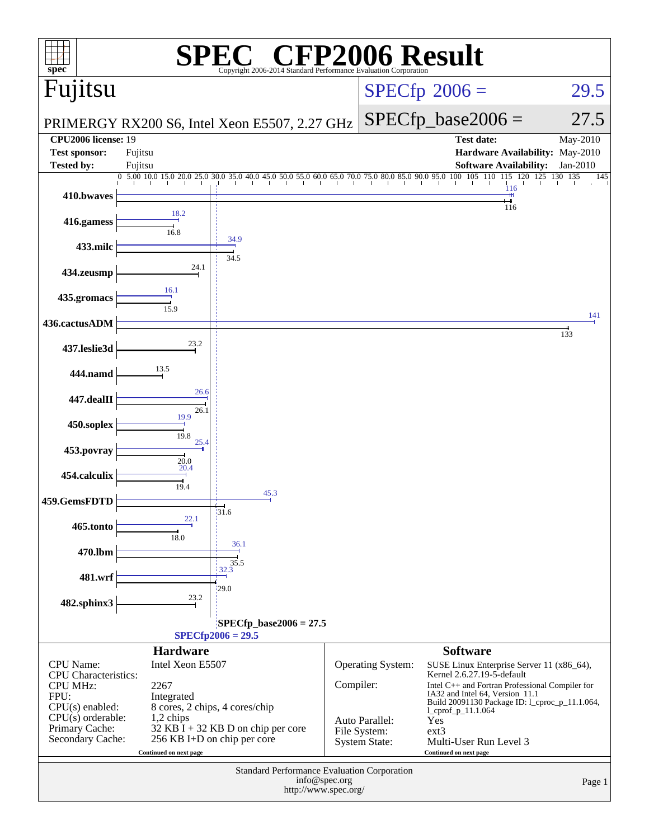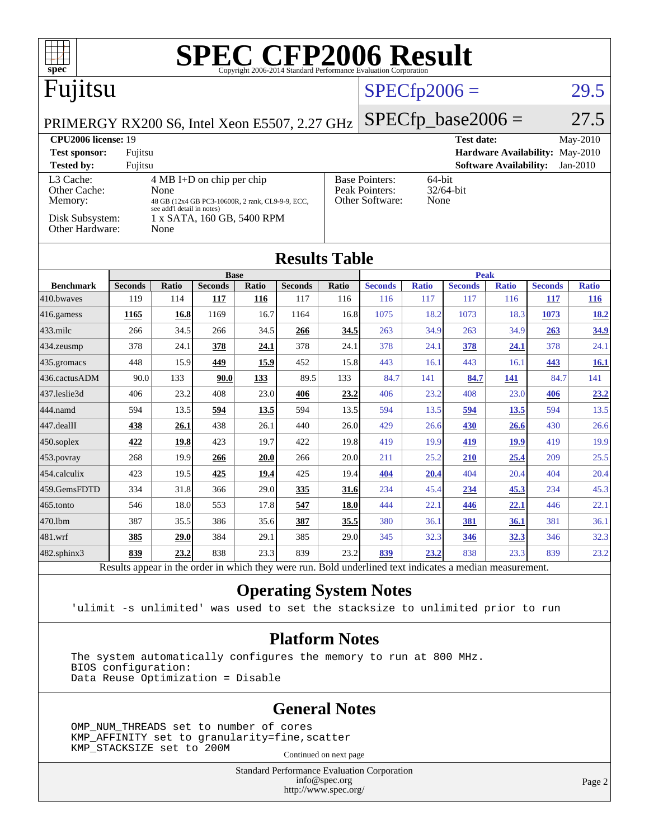| ĦТ<br>spec <sup>®</sup>                       |                                                              |                                    |                            |              | <b>SPEC CFP2006 Result</b>                                                                               |              |                       |                     |                       |                               |                                 |                            |
|-----------------------------------------------|--------------------------------------------------------------|------------------------------------|----------------------------|--------------|----------------------------------------------------------------------------------------------------------|--------------|-----------------------|---------------------|-----------------------|-------------------------------|---------------------------------|----------------------------|
| Fujitsu                                       |                                                              |                                    |                            |              | $SPECfp2006 =$                                                                                           |              |                       | 29.5                |                       |                               |                                 |                            |
| PRIMERGY RX200 S6, Intel Xeon E5507, 2.27 GHz |                                                              |                                    |                            |              |                                                                                                          |              |                       |                     | $SPECfp\_base2006 =$  |                               |                                 | 27.5                       |
| <b>CPU2006</b> license: 19                    |                                                              |                                    |                            |              |                                                                                                          |              |                       |                     | <b>Test date:</b>     |                               |                                 | May-2010                   |
| <b>Test sponsor:</b>                          | Fujitsu                                                      |                                    |                            |              |                                                                                                          |              |                       |                     |                       |                               | Hardware Availability: May-2010 |                            |
| <b>Tested by:</b>                             | Fujitsu                                                      |                                    |                            |              |                                                                                                          |              |                       |                     |                       | <b>Software Availability:</b> |                                 | Jan-2010                   |
| Other Cache:                                  | L <sub>3</sub> Cache:<br>$4 MB I+D$ on chip per chip<br>None |                                    |                            |              | <b>Base Pointers:</b><br>64-bit<br>Peak Pointers:<br>32/64-bit                                           |              |                       |                     |                       |                               |                                 |                            |
| Memory:                                       | 48 GB (12x4 GB PC3-10600R, 2 rank, CL9-9-9, ECC,             |                                    |                            |              | Other Software:<br>None                                                                                  |              |                       |                     |                       |                               |                                 |                            |
| Disk Subsystem:<br>Other Hardware:            |                                                              | see add'l detail in notes)<br>None | 1 x SATA, 160 GB, 5400 RPM |              |                                                                                                          |              |                       |                     |                       |                               |                                 |                            |
| <b>Results Table</b>                          |                                                              |                                    |                            |              |                                                                                                          |              |                       |                     |                       |                               |                                 |                            |
|                                               |                                                              |                                    | <b>Base</b>                |              |                                                                                                          |              |                       | <b>Peak</b>         |                       |                               |                                 |                            |
| <b>Benchmark</b><br>410.bwayes                | <b>Seconds</b><br>119                                        | Ratio<br>114                       | <b>Seconds</b><br>117      | Ratio<br>116 | <b>Seconds</b><br>117                                                                                    | Ratio<br>116 | <b>Seconds</b><br>116 | <b>Ratio</b><br>117 | <b>Seconds</b><br>117 | <b>Ratio</b><br>116           | <b>Seconds</b><br>117           | <b>Ratio</b><br><b>116</b> |
| 416.gamess                                    | 1165                                                         | 16.8                               | 1169                       | 16.7         | 1164                                                                                                     | 16.8         | 1075                  | 18.2                | 1073                  | 18.3                          | 1073                            | 18.2                       |
| 433.milc                                      | 266                                                          | 34.5                               | 266                        | 34.5         | 266                                                                                                      | 34.5         | 263                   | 34.9                | 263                   | 34.9                          | 263                             | 34.9                       |
| 434.zeusmp                                    | 378                                                          | 24.1                               | 378                        | 24.1         | 378                                                                                                      | 24.1         | 378                   | 24.1                | 378                   | 24.1                          | 378                             | 24.1                       |
| 435.gromacs                                   | 448                                                          | 15.9                               | 449                        | 15.9         | 452                                                                                                      | 15.8         | 443                   | 16.1                | 443                   | 16.1                          | 443                             | <b>16.1</b>                |
| 436.cactusADM                                 | 90.0                                                         | 133                                | 90.0                       | 133          | 89.5                                                                                                     | 133          | 84.7                  | 141                 | 84.7                  | 141                           | 84.7                            | 141                        |
| 437.leslie3d                                  | 406                                                          | 23.2                               | 408                        | 23.0         | 406                                                                                                      | 23.2         | 406                   | 23.2                | 408                   | 23.0                          | 406                             | 23.2                       |
| 444.namd                                      | 594                                                          | 13.5                               | 594                        | 13.5         | 594                                                                                                      | 13.5         | 594                   | 13.5                | 594                   | 13.5                          | 594                             | 13.5                       |
| 447.dealII                                    | 438                                                          | 26.1                               | 438                        | 26.1         | 440                                                                                                      | 26.0         | 429                   | 26.6                | 430                   | 26.6                          | 430                             | 26.6                       |
| 450.soplex                                    | 422                                                          | 19.8                               | 423                        | 19.7         | 422                                                                                                      | 19.8         | 419                   | 19.9                | 419                   | 19.9                          | 419                             | 19.9                       |
| 453.povray                                    | 268                                                          | 19.9                               | 266                        | 20.0         | 266                                                                                                      | 20.0         | 211                   | 25.2                | <b>210</b>            | 25.4                          | 209                             | 25.5                       |
| 454.calculix                                  | 423                                                          | 19.5                               | 425                        | 19.4         | 425                                                                                                      | 19.4         | 404                   | 20.4                | 404                   | 20.4                          | 404                             | 20.4                       |
| 459.GemsFDTD                                  | 334                                                          | 31.8                               | 366                        | 29.0         | 335                                                                                                      | 31.6         | 234                   | 45.4                | 234                   | 45.3                          | 234                             | 45.3                       |
| 465.tonto                                     | 546                                                          | 18.0                               | 553                        | 17.8         | 547                                                                                                      | 18.0         | 444                   | 22.1                | 446                   | 22.1                          | 446                             | 22.1                       |
| 470.1bm                                       | 387                                                          | 35.5                               | 386                        | 35.6         | 387                                                                                                      | 35.5         | 380                   | 36.1                | 381                   | 36.1                          | 381                             | 36.1                       |
| 481.wrf                                       | 385                                                          | 29.0                               | 384                        | 29.1         | 385                                                                                                      | 29.0         | 345                   | 32.3                | 346                   | 32.3                          | 346                             | 32.3                       |
| 482.sphinx3                                   | 839                                                          | 23.2                               | 838                        | 23.3         | 839                                                                                                      | 23.2         | 839                   | 23.2                | 838                   | 23.3                          | 839                             | 23.2                       |
|                                               |                                                              |                                    |                            |              | Results appear in the order in which they were run. Bold underlined text indicates a median measurement. |              |                       |                     |                       |                               |                                 |                            |

**[Operating System Notes](http://www.spec.org/auto/cpu2006/Docs/result-fields.html#OperatingSystemNotes)**

'ulimit -s unlimited' was used to set the stacksize to unlimited prior to run

### **[Platform Notes](http://www.spec.org/auto/cpu2006/Docs/result-fields.html#PlatformNotes)**

The system automatically configures the memory to run at 800 MHz. BIOS configuration: Data Reuse Optimization = Disable

### **[General Notes](http://www.spec.org/auto/cpu2006/Docs/result-fields.html#GeneralNotes)**

 OMP\_NUM\_THREADS set to number of cores KMP\_AFFINITY set to granularity=fine,scatter KMP\_STACKSIZE set to 200M Continued on next page

Standard Performance Evaluation Corporation

[info@spec.org](mailto:info@spec.org) <http://www.spec.org/>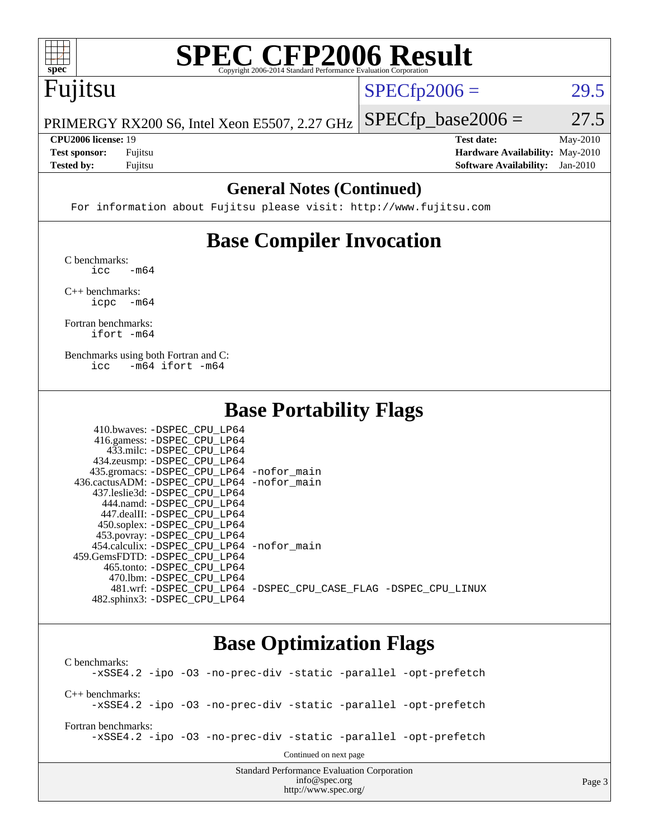

# **[SPEC CFP2006 Result](http://www.spec.org/auto/cpu2006/Docs/result-fields.html#SPECCFP2006Result)**

## Fujitsu

 $SPECTp2006 = 29.5$ 

Page 3

PRIMERGY RX200 S6, Intel Xeon E5507, 2.27 GHz  $SPECTp\_base2006 = 27.5$ 

**[Tested by:](http://www.spec.org/auto/cpu2006/Docs/result-fields.html#Testedby)** Fujitsu **[Software Availability:](http://www.spec.org/auto/cpu2006/Docs/result-fields.html#SoftwareAvailability)** Jan-2010

**[CPU2006 license:](http://www.spec.org/auto/cpu2006/Docs/result-fields.html#CPU2006license)** 19 **[Test date:](http://www.spec.org/auto/cpu2006/Docs/result-fields.html#Testdate)** May-2010 **[Test sponsor:](http://www.spec.org/auto/cpu2006/Docs/result-fields.html#Testsponsor)** Fujitsu **[Hardware Availability:](http://www.spec.org/auto/cpu2006/Docs/result-fields.html#HardwareAvailability)** May-2010

### **[General Notes \(Continued\)](http://www.spec.org/auto/cpu2006/Docs/result-fields.html#GeneralNotes)**

For information about Fujitsu please visit: <http://www.fujitsu.com>

### **[Base Compiler Invocation](http://www.spec.org/auto/cpu2006/Docs/result-fields.html#BaseCompilerInvocation)**

[C benchmarks](http://www.spec.org/auto/cpu2006/Docs/result-fields.html#Cbenchmarks):  $\text{icc}$   $-\text{m64}$ 

[C++ benchmarks:](http://www.spec.org/auto/cpu2006/Docs/result-fields.html#CXXbenchmarks) [icpc -m64](http://www.spec.org/cpu2006/results/res2010q3/cpu2006-20100706-12239.flags.html#user_CXXbase_intel_icpc_64bit_bedb90c1146cab66620883ef4f41a67e)

[Fortran benchmarks](http://www.spec.org/auto/cpu2006/Docs/result-fields.html#Fortranbenchmarks): [ifort -m64](http://www.spec.org/cpu2006/results/res2010q3/cpu2006-20100706-12239.flags.html#user_FCbase_intel_ifort_64bit_ee9d0fb25645d0210d97eb0527dcc06e)

[Benchmarks using both Fortran and C](http://www.spec.org/auto/cpu2006/Docs/result-fields.html#BenchmarksusingbothFortranandC): [icc -m64](http://www.spec.org/cpu2006/results/res2010q3/cpu2006-20100706-12239.flags.html#user_CC_FCbase_intel_icc_64bit_0b7121f5ab7cfabee23d88897260401c) [ifort -m64](http://www.spec.org/cpu2006/results/res2010q3/cpu2006-20100706-12239.flags.html#user_CC_FCbase_intel_ifort_64bit_ee9d0fb25645d0210d97eb0527dcc06e)

### **[Base Portability Flags](http://www.spec.org/auto/cpu2006/Docs/result-fields.html#BasePortabilityFlags)**

| 410.bwaves: -DSPEC CPU LP64                 |                                                                |
|---------------------------------------------|----------------------------------------------------------------|
| 416.gamess: -DSPEC_CPU_LP64                 |                                                                |
| 433.milc: -DSPEC CPU LP64                   |                                                                |
| 434.zeusmp: -DSPEC_CPU_LP64                 |                                                                |
| 435.gromacs: -DSPEC_CPU_LP64 -nofor_main    |                                                                |
| 436.cactusADM: -DSPEC CPU LP64 -nofor main  |                                                                |
| 437.leslie3d: -DSPEC CPU LP64               |                                                                |
| 444.namd: -DSPEC CPU LP64                   |                                                                |
| 447.dealII: -DSPEC CPU LP64                 |                                                                |
| 450.soplex: -DSPEC_CPU_LP64                 |                                                                |
| 453.povray: -DSPEC_CPU_LP64                 |                                                                |
| 454.calculix: - DSPEC CPU LP64 - nofor main |                                                                |
| 459.GemsFDTD: -DSPEC_CPU LP64               |                                                                |
| 465.tonto: -DSPEC CPU LP64                  |                                                                |
| 470.1bm: - DSPEC CPU LP64                   |                                                                |
|                                             | 481.wrf: -DSPEC CPU_LP64 -DSPEC_CPU_CASE_FLAG -DSPEC_CPU_LINUX |
| 482.sphinx3: -DSPEC_CPU_LP64                |                                                                |

### **[Base Optimization Flags](http://www.spec.org/auto/cpu2006/Docs/result-fields.html#BaseOptimizationFlags)**

[info@spec.org](mailto:info@spec.org) <http://www.spec.org/>

Standard Performance Evaluation Corporation [C benchmarks](http://www.spec.org/auto/cpu2006/Docs/result-fields.html#Cbenchmarks): [-xSSE4.2](http://www.spec.org/cpu2006/results/res2010q3/cpu2006-20100706-12239.flags.html#user_CCbase_f-xSSE42_f91528193cf0b216347adb8b939d4107) [-ipo](http://www.spec.org/cpu2006/results/res2010q3/cpu2006-20100706-12239.flags.html#user_CCbase_f-ipo) [-O3](http://www.spec.org/cpu2006/results/res2010q3/cpu2006-20100706-12239.flags.html#user_CCbase_f-O3) [-no-prec-div](http://www.spec.org/cpu2006/results/res2010q3/cpu2006-20100706-12239.flags.html#user_CCbase_f-no-prec-div) [-static](http://www.spec.org/cpu2006/results/res2010q3/cpu2006-20100706-12239.flags.html#user_CCbase_f-static) [-parallel](http://www.spec.org/cpu2006/results/res2010q3/cpu2006-20100706-12239.flags.html#user_CCbase_f-parallel) [-opt-prefetch](http://www.spec.org/cpu2006/results/res2010q3/cpu2006-20100706-12239.flags.html#user_CCbase_f-opt-prefetch) [C++ benchmarks:](http://www.spec.org/auto/cpu2006/Docs/result-fields.html#CXXbenchmarks) [-xSSE4.2](http://www.spec.org/cpu2006/results/res2010q3/cpu2006-20100706-12239.flags.html#user_CXXbase_f-xSSE42_f91528193cf0b216347adb8b939d4107) [-ipo](http://www.spec.org/cpu2006/results/res2010q3/cpu2006-20100706-12239.flags.html#user_CXXbase_f-ipo) [-O3](http://www.spec.org/cpu2006/results/res2010q3/cpu2006-20100706-12239.flags.html#user_CXXbase_f-O3) [-no-prec-div](http://www.spec.org/cpu2006/results/res2010q3/cpu2006-20100706-12239.flags.html#user_CXXbase_f-no-prec-div) [-static](http://www.spec.org/cpu2006/results/res2010q3/cpu2006-20100706-12239.flags.html#user_CXXbase_f-static) [-parallel](http://www.spec.org/cpu2006/results/res2010q3/cpu2006-20100706-12239.flags.html#user_CXXbase_f-parallel) [-opt-prefetch](http://www.spec.org/cpu2006/results/res2010q3/cpu2006-20100706-12239.flags.html#user_CXXbase_f-opt-prefetch) [Fortran benchmarks](http://www.spec.org/auto/cpu2006/Docs/result-fields.html#Fortranbenchmarks): [-xSSE4.2](http://www.spec.org/cpu2006/results/res2010q3/cpu2006-20100706-12239.flags.html#user_FCbase_f-xSSE42_f91528193cf0b216347adb8b939d4107) [-ipo](http://www.spec.org/cpu2006/results/res2010q3/cpu2006-20100706-12239.flags.html#user_FCbase_f-ipo) [-O3](http://www.spec.org/cpu2006/results/res2010q3/cpu2006-20100706-12239.flags.html#user_FCbase_f-O3) [-no-prec-div](http://www.spec.org/cpu2006/results/res2010q3/cpu2006-20100706-12239.flags.html#user_FCbase_f-no-prec-div) [-static](http://www.spec.org/cpu2006/results/res2010q3/cpu2006-20100706-12239.flags.html#user_FCbase_f-static) [-parallel](http://www.spec.org/cpu2006/results/res2010q3/cpu2006-20100706-12239.flags.html#user_FCbase_f-parallel) [-opt-prefetch](http://www.spec.org/cpu2006/results/res2010q3/cpu2006-20100706-12239.flags.html#user_FCbase_f-opt-prefetch) Continued on next page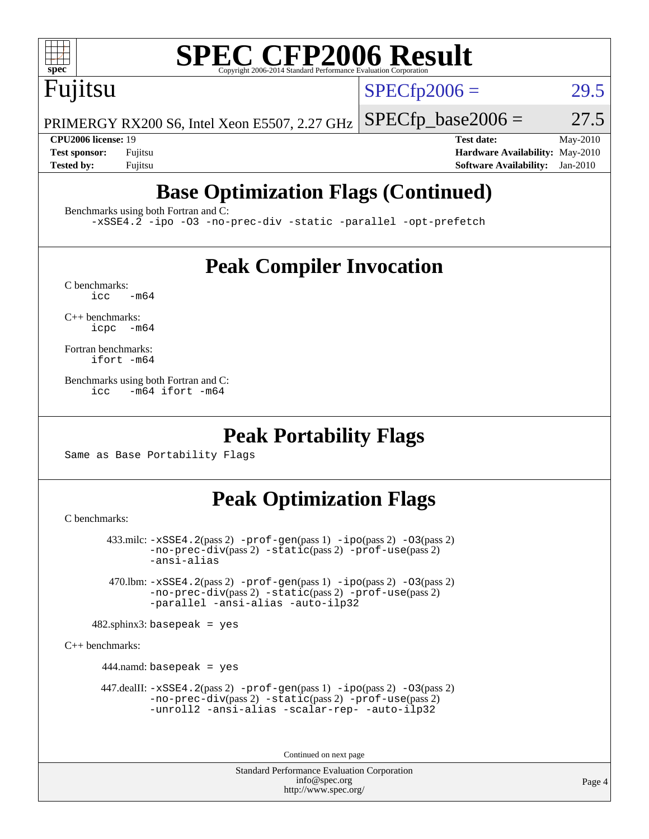

# **[SPEC CFP2006 Result](http://www.spec.org/auto/cpu2006/Docs/result-fields.html#SPECCFP2006Result)**

Fujitsu

 $SPECTp2006 = 29.5$ 

PRIMERGY RX200 S6, Intel Xeon E5507, 2.27 GHz  $SPECfp\_base2006 = 27.5$ 

**[CPU2006 license:](http://www.spec.org/auto/cpu2006/Docs/result-fields.html#CPU2006license)** 19 **[Test date:](http://www.spec.org/auto/cpu2006/Docs/result-fields.html#Testdate)** May-2010 **[Test sponsor:](http://www.spec.org/auto/cpu2006/Docs/result-fields.html#Testsponsor)** Fujitsu **[Hardware Availability:](http://www.spec.org/auto/cpu2006/Docs/result-fields.html#HardwareAvailability)** May-2010 **[Tested by:](http://www.spec.org/auto/cpu2006/Docs/result-fields.html#Testedby)** Fujitsu **[Software Availability:](http://www.spec.org/auto/cpu2006/Docs/result-fields.html#SoftwareAvailability)** Jan-2010

## **[Base Optimization Flags \(Continued\)](http://www.spec.org/auto/cpu2006/Docs/result-fields.html#BaseOptimizationFlags)**

[Benchmarks using both Fortran and C](http://www.spec.org/auto/cpu2006/Docs/result-fields.html#BenchmarksusingbothFortranandC):

[-xSSE4.2](http://www.spec.org/cpu2006/results/res2010q3/cpu2006-20100706-12239.flags.html#user_CC_FCbase_f-xSSE42_f91528193cf0b216347adb8b939d4107) [-ipo](http://www.spec.org/cpu2006/results/res2010q3/cpu2006-20100706-12239.flags.html#user_CC_FCbase_f-ipo) [-O3](http://www.spec.org/cpu2006/results/res2010q3/cpu2006-20100706-12239.flags.html#user_CC_FCbase_f-O3) [-no-prec-div](http://www.spec.org/cpu2006/results/res2010q3/cpu2006-20100706-12239.flags.html#user_CC_FCbase_f-no-prec-div) [-static](http://www.spec.org/cpu2006/results/res2010q3/cpu2006-20100706-12239.flags.html#user_CC_FCbase_f-static) [-parallel](http://www.spec.org/cpu2006/results/res2010q3/cpu2006-20100706-12239.flags.html#user_CC_FCbase_f-parallel) [-opt-prefetch](http://www.spec.org/cpu2006/results/res2010q3/cpu2006-20100706-12239.flags.html#user_CC_FCbase_f-opt-prefetch)

### **[Peak Compiler Invocation](http://www.spec.org/auto/cpu2006/Docs/result-fields.html#PeakCompilerInvocation)**

 $C$  benchmarks:<br>icc  $-m64$ 

[C++ benchmarks:](http://www.spec.org/auto/cpu2006/Docs/result-fields.html#CXXbenchmarks) [icpc -m64](http://www.spec.org/cpu2006/results/res2010q3/cpu2006-20100706-12239.flags.html#user_CXXpeak_intel_icpc_64bit_bedb90c1146cab66620883ef4f41a67e)

[Fortran benchmarks](http://www.spec.org/auto/cpu2006/Docs/result-fields.html#Fortranbenchmarks): [ifort -m64](http://www.spec.org/cpu2006/results/res2010q3/cpu2006-20100706-12239.flags.html#user_FCpeak_intel_ifort_64bit_ee9d0fb25645d0210d97eb0527dcc06e)

[Benchmarks using both Fortran and C](http://www.spec.org/auto/cpu2006/Docs/result-fields.html#BenchmarksusingbothFortranandC): [icc -m64](http://www.spec.org/cpu2006/results/res2010q3/cpu2006-20100706-12239.flags.html#user_CC_FCpeak_intel_icc_64bit_0b7121f5ab7cfabee23d88897260401c) [ifort -m64](http://www.spec.org/cpu2006/results/res2010q3/cpu2006-20100706-12239.flags.html#user_CC_FCpeak_intel_ifort_64bit_ee9d0fb25645d0210d97eb0527dcc06e)

### **[Peak Portability Flags](http://www.spec.org/auto/cpu2006/Docs/result-fields.html#PeakPortabilityFlags)**

Same as Base Portability Flags

### **[Peak Optimization Flags](http://www.spec.org/auto/cpu2006/Docs/result-fields.html#PeakOptimizationFlags)**

[C benchmarks](http://www.spec.org/auto/cpu2006/Docs/result-fields.html#Cbenchmarks):

 433.milc: [-xSSE4.2](http://www.spec.org/cpu2006/results/res2010q3/cpu2006-20100706-12239.flags.html#user_peakPASS2_CFLAGSPASS2_LDFLAGS433_milc_f-xSSE42_f91528193cf0b216347adb8b939d4107)(pass 2) [-prof-gen](http://www.spec.org/cpu2006/results/res2010q3/cpu2006-20100706-12239.flags.html#user_peakPASS1_CFLAGSPASS1_LDFLAGS433_milc_prof_gen_e43856698f6ca7b7e442dfd80e94a8fc)(pass 1) [-ipo](http://www.spec.org/cpu2006/results/res2010q3/cpu2006-20100706-12239.flags.html#user_peakPASS2_CFLAGSPASS2_LDFLAGS433_milc_f-ipo)(pass 2) [-O3](http://www.spec.org/cpu2006/results/res2010q3/cpu2006-20100706-12239.flags.html#user_peakPASS2_CFLAGSPASS2_LDFLAGS433_milc_f-O3)(pass 2) [-no-prec-div](http://www.spec.org/cpu2006/results/res2010q3/cpu2006-20100706-12239.flags.html#user_peakPASS2_CFLAGSPASS2_LDFLAGS433_milc_f-no-prec-div)(pass 2) [-static](http://www.spec.org/cpu2006/results/res2010q3/cpu2006-20100706-12239.flags.html#user_peakPASS2_CFLAGSPASS2_LDFLAGS433_milc_f-static)(pass 2) [-prof-use](http://www.spec.org/cpu2006/results/res2010q3/cpu2006-20100706-12239.flags.html#user_peakPASS2_CFLAGSPASS2_LDFLAGS433_milc_prof_use_bccf7792157ff70d64e32fe3e1250b55)(pass 2) [-ansi-alias](http://www.spec.org/cpu2006/results/res2010q3/cpu2006-20100706-12239.flags.html#user_peakOPTIMIZE433_milc_f-ansi-alias)

 470.lbm: [-xSSE4.2](http://www.spec.org/cpu2006/results/res2010q3/cpu2006-20100706-12239.flags.html#user_peakPASS2_CFLAGSPASS2_LDFLAGS470_lbm_f-xSSE42_f91528193cf0b216347adb8b939d4107)(pass 2) [-prof-gen](http://www.spec.org/cpu2006/results/res2010q3/cpu2006-20100706-12239.flags.html#user_peakPASS1_CFLAGSPASS1_LDFLAGS470_lbm_prof_gen_e43856698f6ca7b7e442dfd80e94a8fc)(pass 1) [-ipo](http://www.spec.org/cpu2006/results/res2010q3/cpu2006-20100706-12239.flags.html#user_peakPASS2_CFLAGSPASS2_LDFLAGS470_lbm_f-ipo)(pass 2) [-O3](http://www.spec.org/cpu2006/results/res2010q3/cpu2006-20100706-12239.flags.html#user_peakPASS2_CFLAGSPASS2_LDFLAGS470_lbm_f-O3)(pass 2) [-no-prec-div](http://www.spec.org/cpu2006/results/res2010q3/cpu2006-20100706-12239.flags.html#user_peakPASS2_CFLAGSPASS2_LDFLAGS470_lbm_f-no-prec-div)(pass 2) [-static](http://www.spec.org/cpu2006/results/res2010q3/cpu2006-20100706-12239.flags.html#user_peakPASS2_CFLAGSPASS2_LDFLAGS470_lbm_f-static)(pass 2) [-prof-use](http://www.spec.org/cpu2006/results/res2010q3/cpu2006-20100706-12239.flags.html#user_peakPASS2_CFLAGSPASS2_LDFLAGS470_lbm_prof_use_bccf7792157ff70d64e32fe3e1250b55)(pass 2) [-parallel](http://www.spec.org/cpu2006/results/res2010q3/cpu2006-20100706-12239.flags.html#user_peakOPTIMIZE470_lbm_f-parallel) [-ansi-alias](http://www.spec.org/cpu2006/results/res2010q3/cpu2006-20100706-12239.flags.html#user_peakOPTIMIZE470_lbm_f-ansi-alias) [-auto-ilp32](http://www.spec.org/cpu2006/results/res2010q3/cpu2006-20100706-12239.flags.html#user_peakCOPTIMIZE470_lbm_f-auto-ilp32)

 $482$ .sphinx3: basepeak = yes

[C++ benchmarks:](http://www.spec.org/auto/cpu2006/Docs/result-fields.html#CXXbenchmarks)

444.namd: basepeak = yes

 $447$ .dealII:  $-xSSE4$ .  $2(pass 2)$  [-prof-gen](http://www.spec.org/cpu2006/results/res2010q3/cpu2006-20100706-12239.flags.html#user_peakPASS1_CXXFLAGSPASS1_LDFLAGS447_dealII_prof_gen_e43856698f6ca7b7e442dfd80e94a8fc)(pass 1) [-ipo](http://www.spec.org/cpu2006/results/res2010q3/cpu2006-20100706-12239.flags.html#user_peakPASS2_CXXFLAGSPASS2_LDFLAGS447_dealII_f-ipo)(pass 2) -03(pass 2) [-no-prec-div](http://www.spec.org/cpu2006/results/res2010q3/cpu2006-20100706-12239.flags.html#user_peakPASS2_CXXFLAGSPASS2_LDFLAGS447_dealII_f-no-prec-div)(pass 2) [-static](http://www.spec.org/cpu2006/results/res2010q3/cpu2006-20100706-12239.flags.html#user_peakPASS2_CXXFLAGSPASS2_LDFLAGS447_dealII_f-static)(pass 2) [-prof-use](http://www.spec.org/cpu2006/results/res2010q3/cpu2006-20100706-12239.flags.html#user_peakPASS2_CXXFLAGSPASS2_LDFLAGS447_dealII_prof_use_bccf7792157ff70d64e32fe3e1250b55)(pass 2) [-unroll2](http://www.spec.org/cpu2006/results/res2010q3/cpu2006-20100706-12239.flags.html#user_peakOPTIMIZE447_dealII_f-unroll_784dae83bebfb236979b41d2422d7ec2) [-ansi-alias](http://www.spec.org/cpu2006/results/res2010q3/cpu2006-20100706-12239.flags.html#user_peakOPTIMIZE447_dealII_f-ansi-alias) [-scalar-rep-](http://www.spec.org/cpu2006/results/res2010q3/cpu2006-20100706-12239.flags.html#user_peakOPTIMIZE447_dealII_f-disablescalarrep_abbcad04450fb118e4809c81d83c8a1d) [-auto-ilp32](http://www.spec.org/cpu2006/results/res2010q3/cpu2006-20100706-12239.flags.html#user_peakCXXOPTIMIZE447_dealII_f-auto-ilp32)

Continued on next page

Standard Performance Evaluation Corporation [info@spec.org](mailto:info@spec.org) <http://www.spec.org/>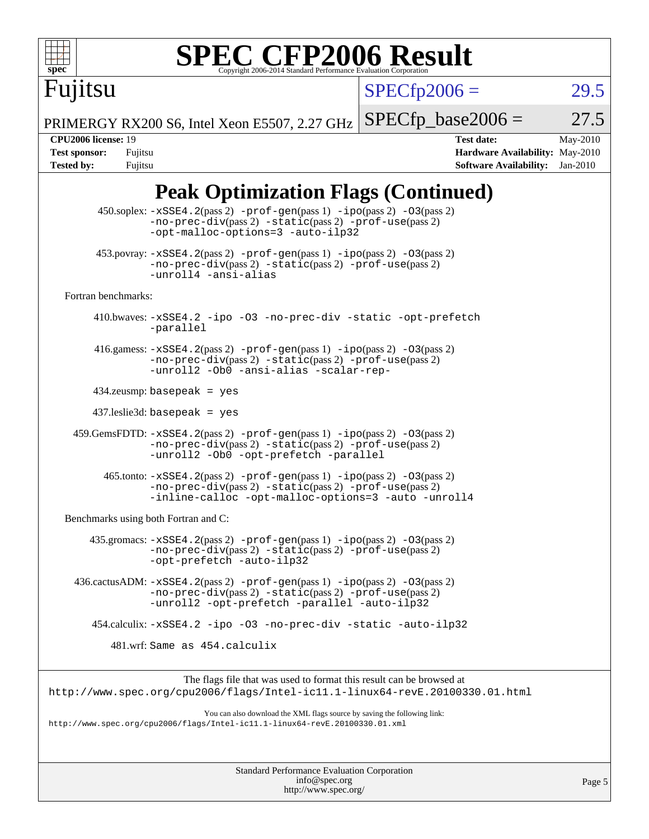

# **[SPEC CFP2006 Result](http://www.spec.org/auto/cpu2006/Docs/result-fields.html#SPECCFP2006Result)**

 $SPECfp2006 = 29.5$  $SPECfp2006 = 29.5$ 

PRIMERGY RX200 S6, Intel Xeon E5507, 2.27 GHz  $SPECTp\_base2006 = 27.5$ 

Fujitsu

**[CPU2006 license:](http://www.spec.org/auto/cpu2006/Docs/result-fields.html#CPU2006license)** 19 **[Test date:](http://www.spec.org/auto/cpu2006/Docs/result-fields.html#Testdate)** May-2010 **[Test sponsor:](http://www.spec.org/auto/cpu2006/Docs/result-fields.html#Testsponsor)** Fujitsu **[Hardware Availability:](http://www.spec.org/auto/cpu2006/Docs/result-fields.html#HardwareAvailability)** May-2010 **[Tested by:](http://www.spec.org/auto/cpu2006/Docs/result-fields.html#Testedby)** Fujitsu **[Software Availability:](http://www.spec.org/auto/cpu2006/Docs/result-fields.html#SoftwareAvailability)** Jan-2010

### **[Peak Optimization Flags \(Continued\)](http://www.spec.org/auto/cpu2006/Docs/result-fields.html#PeakOptimizationFlags)**

|                                      | 450.soplex: -xSSE4.2(pass 2) -prof-gen(pass 1) -ipo(pass 2) -03(pass 2)<br>$-no-prec-div(pass 2) -static(pass 2) -prot-use(pass 2)$<br>-opt-malloc-options=3 -auto-ilp32                         |  |
|--------------------------------------|--------------------------------------------------------------------------------------------------------------------------------------------------------------------------------------------------|--|
|                                      | $453.$ povray: $-xSSE4.2(pass2)$ -prof-gen $(pass1)$ -ipo $(pass2)$ -03 $(pass2)$<br>-no-prec-div(pass 2) -static(pass 2) -prof-use(pass 2)<br>-unroll4 -ansi-alias                              |  |
| Fortran benchmarks:                  |                                                                                                                                                                                                  |  |
|                                      | 410.bwaves: -xSSE4.2 -ipo -03 -no-prec-div -static -opt-prefetch<br>-parallel                                                                                                                    |  |
|                                      | 416.gamess: $-xSSE4$ . 2(pass 2) $-prof-gen(pass 1) -ipo(pass 2) -O3(pass 2)$<br>-no-prec-div(pass 2) -static(pass 2) -prof-use(pass 2)<br>-unroll2 -Ob0 -ansi-alias -scalar-rep-                |  |
|                                      | $434$ .zeusmp: basepeak = yes                                                                                                                                                                    |  |
|                                      | $437$ .leslie3d: basepeak = yes                                                                                                                                                                  |  |
|                                      | 459.GemsFDTD: -xSSE4.2(pass 2) -prof-gen(pass 1) -ipo(pass 2) -03(pass 2)<br>-no-prec-div(pass 2) -static(pass 2) -prof-use(pass 2)<br>-unroll2 -0b0 -opt-prefetch -parallel                     |  |
|                                      | $465$ .tonto: $-xSSE4$ . 2(pass 2) $-prof-gen(pass 1) -ipo(pass 2) -03(pass 2)$<br>-no-prec-div(pass 2) -static(pass 2) -prof-use(pass 2)<br>-inline-calloc -opt-malloc-options=3 -auto -unroll4 |  |
| Benchmarks using both Fortran and C: |                                                                                                                                                                                                  |  |
|                                      | $435$ .gromacs: $-xSSE4$ . 2(pass 2) $-prof-gen(pass 1) -ipo(pass 2) -03(pass 2)$<br>-no-prec-div(pass 2) -static(pass 2) -prof-use(pass 2)<br>-opt-prefetch -auto-ilp32                         |  |
|                                      | $436.cactusADM: -xSSE4.2(pass 2) -prof-gen(pass 1) -ipo(pass 2) -03(pass 2)$<br>$-no-prec-div(pass 2) -static(pass 2) -prof-use(pass 2)$<br>-unroll2 -opt-prefetch -parallel -auto-ilp32         |  |
|                                      | 454.calculix: -xSSE4.2 -ipo -03 -no-prec-div -static -auto-ilp32                                                                                                                                 |  |
|                                      | 481.wrf: Same as 454.calculix                                                                                                                                                                    |  |
|                                      | The flags file that was used to format this result can be browsed at<br>http://www.spec.org/cpu2006/flags/Intel-ic11.1-linux64-revE.20100330.01.html                                             |  |
|                                      | You can also download the XML flags source by saving the following link:<br>http://www.spec.org/cpu2006/flags/Intel-ic11.1-linux64-revE.20100330.01.xml                                          |  |
|                                      |                                                                                                                                                                                                  |  |

Standard Performance Evaluation Corporation [info@spec.org](mailto:info@spec.org) <http://www.spec.org/>